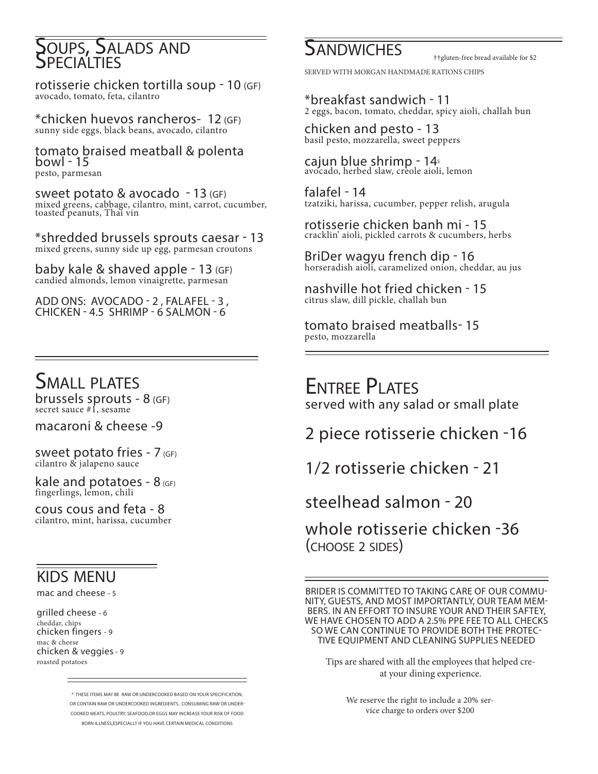# **SOUPS, SALADS AND**

rotisserie chicken tortilla soup - 10 (GF) avocado, tomato, feta, cilantro

\*chicken huevos rancheros- 12 (GF) sunny side eggs, black beans, avocado, cilantro

tomato braised meatball & polenta bowl - 15 pesto, parmesan

sweet potato & avocado - 13 (GF) mixed greens, cabbage, cilantro, mint, carrot, cucumber, toasted peanuts, Thai vin

\*shredded brussels sprouts caesar - 13 mixed greens, sunny side up egg, parmesan croutons

baby kale & shaved apple - 13 (GF) candied almonds, lemon vinaigrette, parmesan

ADD ONS: AVOCADO - 2 , FALAFEL - 3 , CHICKEN - 4.5 SHRIMP - 6 SALMON - 6

### SMALL PLATES

brussels sprouts - 8 (GF) secret sauce #1, sesame

macaroni & cheese -9

sweet potato fries -  $7$  (GF) cilantro & jalapeno sauce

kale and potatoes -  $8$  (GF) fingerlings, lemon, chili

cous cous and feta - 8 cilantro, mint, harissa, cucumber

#### kids menu

mac and cheese - 5

grilled cheese - 6 cheddar, chips chicken fingers - 9 mac & cheese chicken & veggies - 9 roasted potatoes

> \* THESE ITEMS MAY BE RAW OR UNDERCOOKED BASED ON YOUR SPECIFICATION, OR CONTAIN RAW OR UNDERCOOKED INGREDIENTS. CONSUMING RAW OR UNDER-COOKED MEATS, POULTRY, SEAFOOD,OR EGGS MAY INCREASE YOUR RISK OF FOOD BORN ILLNESS,ESPECIALLY IF YOU HAVE CERTAIN MEDICAL CONDITIONS

## **SANDWICHES**

††gluten-free bread available for \$2

SERVED WITH MORGAN HANDMADE RATIONS CHIPS

\*breakfast sandwich - 11 2 eggs, bacon, tomato, cheddar, spicy aioli, challah bun

chicken and pesto - 13 basil pesto, mozzarella, sweet peppers

cajun blue shrimp - 145 avocado, herbed slaw, creole aioli, lemon

falafel - 14 tzatziki, harissa, cucumber, pepper relish, arugula

rotisserie chicken banh mi - 15<br>
cracklin' aioli, pickled carrots & cucumbers, herbs

BriDer wagyu french dip - 16 horseradish aioli, caramelized onion, cheddar, au jus

nashville hot fried chicken - 15 citrus slaw, dill pickle, challah bun

tomato braised meatballs- 15 pesto, mozzarella

Entree Plates served with any salad or small plate

2 piece rotisserie chicken -16

1/2 rotisserie chicken - 21

steelhead salmon - 20

whole rotisserie chicken -36 (choose 2 sides)

BRIDER IS COMMITTED TO TAKING CARE OF OUR COMMU-NITY, GUESTS, AND MOST IMPORTANTLY, OUR TEAM MEM-BERS. IN AN EFFORT TO INSURE YOUR AND THEIR SAFTEY, WE HAVE CHOSEN TO ADD A 2.5% PPE FEE TO ALL CHECKS<br>SO WE CAN CONTINUE TO PROVIDE BOTH THE PROTEC-TIVE EQUIPMENT AND CLEANING SUPPLIES NEEDED

Tips are shared with all the employees that helped creat your dining experience.

> We reserve the right to include a 20% service charge to orders over \$200